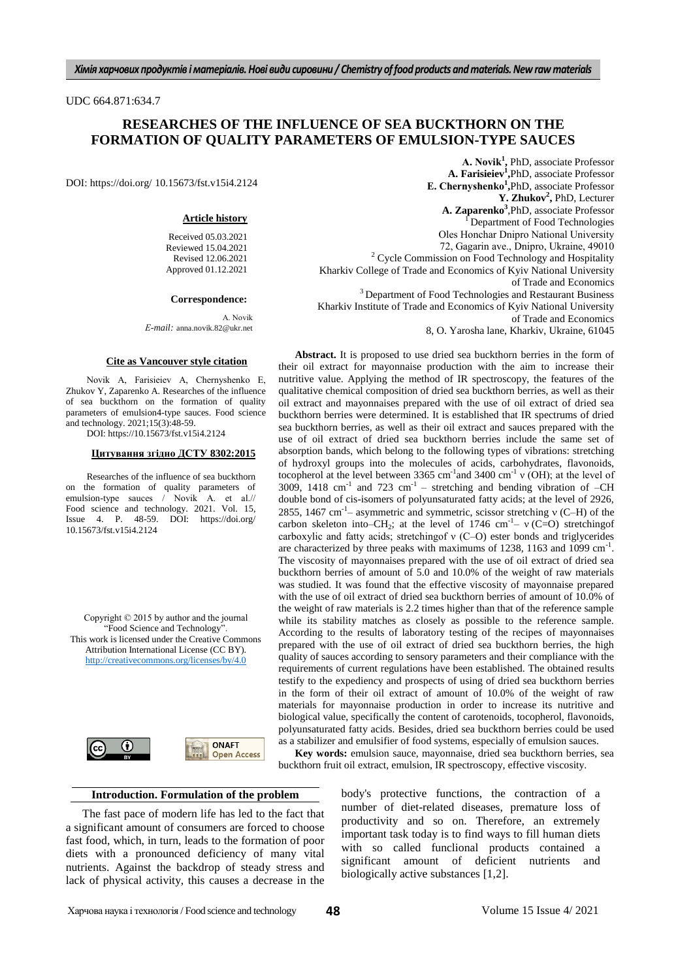UDC 664.871:634.7

# **RESEARCHES OF THE INFLUENCE OF SEA BUCKTHORN ON THE FORMATION OF QUALITY PARAMETERS OF EMULSION-TYPE SAUCES**

DOI: https://doi.org/ 10.15673/fst.v15i4.2124

### **Article history**

Received 05.03.2021 Reviewed 15.04.2021 Revised 12.06.2021 Approved 01.12.2021

### **Correspondence:**

А. Novik *Е-mail:* anna.novik.82@ukr.net

#### **Cite as Vancouver style citation**

Novik А, Farisieiev A, Chernyshenko Е, Zhukov Y, Zaparenko A. Researches of the influence of sea buckthorn on the formation of quality parameters of emulsion4-type sauces. Food science and technology. 2021;15(3):48-59.

DOI: https://10.15673/fst.v15i4.2124

## **Цитування згідно ДСТУ 8302:2015**

Researches of the influence of sea buckthorn on the formation of quality parameters of emulsion-type sauces / Novik A. et al.// Food science and technology. 2021. Vol. 15, Issue 4. P. 48-59. DOI: https://doi.org/ 10.15673/fst.v15i4.2124

Copyright © 2015 by author and the journal "Food Science and Technology". This work is licensed under the Creative Commons Attribution International License (CC BY). <http://creativecommons.org/licenses/by/4.0>



## **Introduction. Formulation of the problem**

The fast pace of modern life has led to the fact that a significant amount of consumers are forced to choose fast food, which, in turn, leads to the formation of poor diets with a pronounced deficiency of many vital nutrients. Against the backdrop of steady stress and lack of physical activity, this causes a decrease in the

**А. Novik<sup>1</sup> ,** PhD, associate Professor **A. Farisieiev<sup>1</sup> ,**PhD, associate Professor **Е. Chernyshenko<sup>1</sup> ,**PhD, associate Professor **Y. Zhukov<sup>2</sup> ,** PhD, Lecturer **A. Zaparenko<sup>3</sup>** ,PhD, associate Professor Department of Food Technologies Oles Нonchar Dnipro National University 72, Gagarin аve., Dnipro, Ukraine, 49010 <sup>2</sup> Cycle Commission on Food Technology and Hospitality Kharkiv College of Trade and Economics of Kyiv National University of Trade and Economics <sup>3</sup> Department of Food Technologies and Restaurant Business Kharkiv Institute of Trade and Economics of Kyiv National University of Trade and Economics

8, O. Yarosha lane, Kharkiv, Ukraine, 61045

**Abstract.** It is proposed to use dried sea buckthorn berries in the form of their oil extract for mayonnaise production with the aim to increase their nutritive value. Applying the method of IR spectroscopy, the features of the qualitative chemical composition of dried sea buckthorn berries, as well as their oil extract and mayonnaises prepared with the use of oil extract of dried sea buckthorn berries were determined. It is established that IR spectrums of dried sea buckthorn berries, as well as their oil extract and sauces prepared with the use of oil extract of dried sea buckthorn berries include the same set of absorption bands, which belong to the following types of vibrations: stretching of hydroxyl groups into the molecules of acids, carbohydrates, flavonoids, tocopherol at the level between 3365 cm<sup>-1</sup> and 3400 cm<sup>-1</sup>  $\nu$  (OH); at the level of 3009, 1418 cm<sup>-1</sup> and 723 cm<sup>-1</sup> – stretching and bending vibration of  $-CH$ double bond of cis-isomers of polyunsaturated fatty acids; at the level of 2926, 2855, 1467 cm<sup>-1</sup> – asymmetric and symmetric, scissor stretching  $v$  (C–H) of the carbon skeleton into–CH<sub>2</sub>; at the level of 1746 cm<sup>-1</sup>-  $\nu$  (C=O) stretching of carboxylic and fatty acids; stretchingof ν (C–O) ester bonds and triglycerides are characterized by three peaks with maximums of 1238, 1163 and 1099 cm<sup>-1</sup>. The viscosity of mayonnaises prepared with the use of oil extract of dried sea buckthorn berries of amount of 5.0 and 10.0% of the weight of raw materials was studied. It was found that the effective viscosity of mayonnaise prepared with the use of oil extract of dried sea buckthorn berries of amount of 10.0% of the weight of raw materials is 2.2 times higher than that of the reference sample while its stability matches as closely as possible to the reference sample. According to the results of laboratory testing of the recipes of mayonnaises prepared with the use of oil extract of dried sea buckthorn berries, the high quality of sauces according to sensory parameters and their compliance with the requirements of current regulations have been established. The obtained results testify to the expediency and prospects of using of dried sea buckthorn berries in the form of their oil extract of amount of 10.0% of the weight of raw materials for mayonnaise production in order to increase its nutritive and biological value, specifically the content of carotenoids, tocopherol, flavonoids, polyunsaturated fatty acids. Besides, dried sea buckthorn berries could be used as a stabilizer and emulsifier of food systems, especially of emulsion sauces.

Key words: emulsion sauce, mayonnaise, dried sea buckthorn berries, sea buckthorn fruit oil extract, emulsion, IR spectroscopy, effective viscosity.

> body's protective functions, the contraction of a number of diet-related diseases, premature loss of productivity and so on. Therefore, an extremely important task today is to find ways to fill human diets with so called funclional products contained a significant amount of deficient nutrients and biologically active substances [1,2].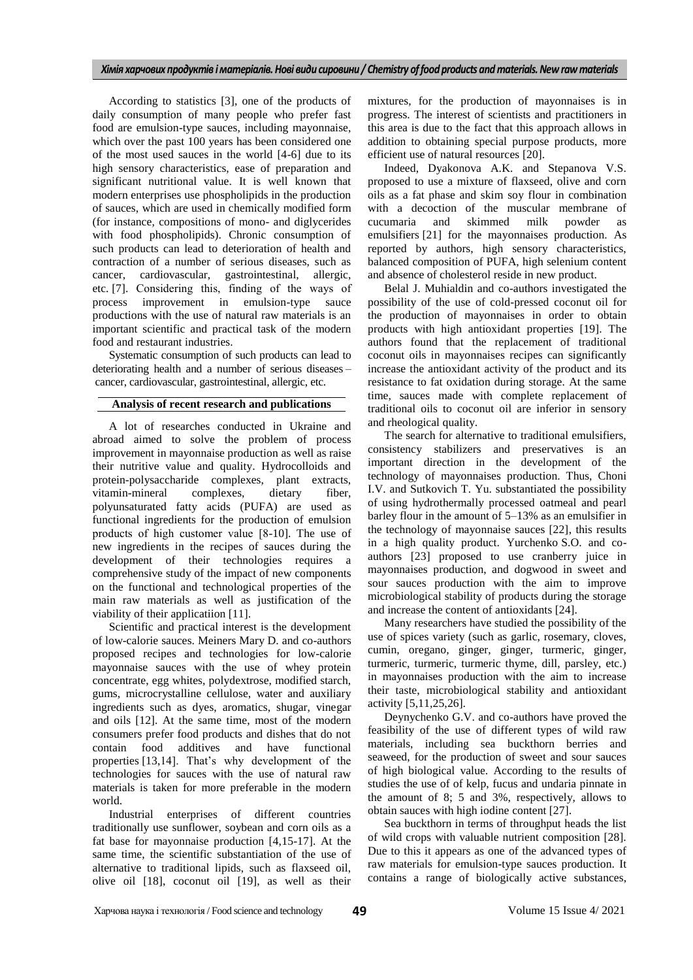According to statistics [3], one of the products of daily consumption of many people who prefer fast food are emulsion-type sauces, including mayonnaise, which over the past 100 years has been considered one of the most used sauces in the world [4-6] due to its high sensory characteristics, ease of preparation and significant nutritional value. It is well known that modern enterprises use phospholipids in the production of sauces, which are used in chemically modified form (for instance, compositions of mono- and diglycerides with food phospholipids). Chronic consumption of such products can lead to deterioration of health and contraction of a number of serious diseases, such as cancer, cardiovascular, gastrointestinal, allergic, etc. [7]. Сonsidering this, finding of the ways of process improvement in emulsion-type sauce productions with the use of natural raw materials is an important scientific and practical task of the modern food and restaurant industries.

Systematic consumption of such products can lead to deteriorating health and a number of serious diseases – cancer, cardiovascular, gastrointestinal, allergic, etc.

## **Analysis of recent research and publications**

A lot of researches conducted in Ukraine and abroad aimed to solve the problem of process improvement in mayonnaise production as well as raise their nutritive value and quality. Hydrocolloids and protein-polysaccharide complexes, plant extracts, vitamin-mineral complexes, dietary fiber, polyunsaturated fatty acids (PUFA) are used as functional ingredients for the production of emulsion products of high сustomer value [8-10]. The use of new ingredients in the recipes of sauces during the development of their technologies requires a comprehensive study of the impact of new components on the functional and technological properties of the main raw materials as well as justification of the viability of their applicatiion [11].

Scientific and practical interest is the development of low-calorie sauces. Meiners Mary D. and co-authors proposed recipes and technologies for low-calorie mayonnaise sauces with the use of whey protein concentrate, egg whites, polydextrose, modified starch, gums, microcrystalline cellulose, water and auxiliary ingredients such as dyes, aromatics, shugar, vinegar and oils [12]. At the same time, most of the modern consumers prefer food products and dishes that do not contain food additives and have functional properties [13,14]. That's why development of the technologies for sauces with the use of natural raw materials is taken for more preferable in the modern world.

Industrial enterprises of different countries traditionally use sunflower, soybean and corn oils as a fat base for mayonnaise production [4,15-17]. At the same time, the scientific substantiation of the use of alternative to traditional lipids, such as flaxseed oil, olive oil [18], coconut oil [19], as well as their mixtures, for the production of mayonnaises is in progress. The interest of scientists and practitioners in this area is due to the fact that this approach allows in addition to obtaining special purpose products, more efficient use of natural resources [20].

Indeed, Dyakonova A.K. and Stepanova V.S. proposed to use a mixture of flaxseed, olive and corn oils as a fat phase and skim soy flour in combination with a decoction of the muscular membrane of cucumaria and skimmed milk powder as emulsifiers [21] for the mayonnaises production. As reported by authors, high sensory characteristics, balanced composition of PUFA, high selenium content and absence of cholesterol reside in new product.

Belal J. Muhialdin and co-authors investigated the possibility of the use of cold-pressed coconut oil for the production of mayonnaises in order to obtain products with high antioxidant properties [19]. The authors found that the replacement of traditional coconut oils in mayonnaises recipes can significantly increase the antioxidant activity of the product and its resistance to fat oxidation during storage. At the same time, sauces made with complete replacement of traditional oils to coconut oil are inferior in sensory and rheological quality.

The search for alternative to traditional emulsifiers, consistency stabilizers and preservatives is an important direction in the development of the technology of mayonnaises production. Thus, Choni I.V. and Sutkovich T. Yu. substantiated the possibility of using hydrothermally processed oatmeal and pearl barley flour in the amount of 5–13% as an emulsifier in the technology of mayonnaise sauces [22], this results in a high quality product. Yurchenko S.O. and coauthors [23] proposed to use cranberry juice in mayonnaises production, and dogwood in sweet and sour sauces production with the aim to improve microbiological stability of products during the storage and increase the content of antioxidants [24].

Many researchers have studied the possibility of the use of spices variety (such as garlic, rosemary, cloves, cumin, oregano, ginger, ginger, turmeric, ginger, turmeric, turmeric, turmeric thyme, dill, parsley, etc.) in mayonnaises production with the aim to increase their taste, microbiological stability and antioxidant activity [5,11,25,26].

Deynychenko G.V. and co-authors have proved the feasibility of the use of different types of wild raw materials, including sea buckthorn berries and seaweed, for the production of sweet and sour sauces of high biological value. According to the results of studies the use of of kelp, fucus and undaria pinnate in the amount of 8; 5 and 3%, respectively, allows to obtain sauces with high iodine content [27].

Sea buckthorn in terms of throughput heads the list of wild crops with valuable nutrient composition [28]. Due to this it appears as one of the advanced types of raw materials for emulsion-type sauces production. It contains a range of biologically active substances,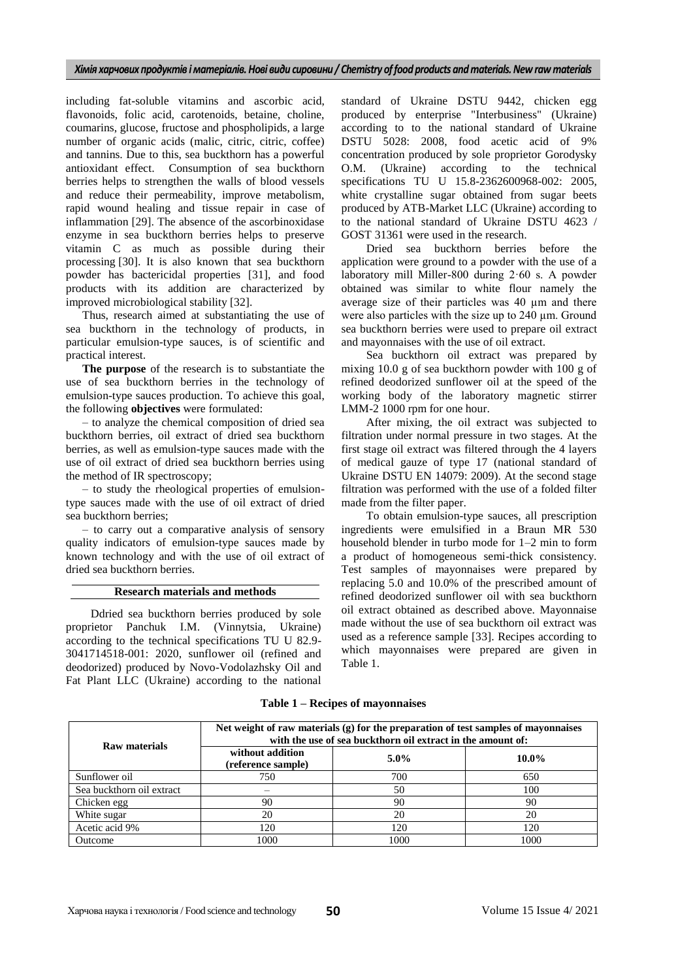including fat-soluble vitamins and ascorbic acid, flavonoids, folic acid, carotenoids, betaine, choline, coumarins, glucose, fructose and phospholipids, a large number of organic acids (malic, citric, citric, coffee) and tannins. Due to this, sea buckthorn has a powerful antioxidant effect. Consumption of sea buckthorn berries helps to strengthen the walls of blood vessels and reduce their permeability, improve metabolism, rapid wound healing and tissue repair in case of inflammation [29]. The absence of the ascorbinoxidase enzyme in sea buckthorn berries helps to preserve vitamin C as much as possible during their processing [30]. It is also known that sea buckthorn powder has bactericidal properties [31], and food products with its addition are characterized by improved microbiological stability [32].

Thus, research aimed at substantiating the use of sea buckthorn in the technology of products, in particular emulsion-type sauces, is of scientific and practical interest.

**The purpose** of the research is to substantiate the use of sea buckthorn berries in the technology of emulsion-type sauces production. To achieve this goal, the following **objectives** were formulated:

– to analyze the chemical composition of dried sea buckthorn berries, oil extract of dried sea buckthorn berries, as well as emulsion-type sauces made with the use of oil extract of dried sea buckthorn berries using the method of IR spectroscopy;

– to study the rheological properties of emulsiontype sauces made with the use of oil extract of dried sea buckthorn berries;

– to carry out a comparative analysis of sensory quality indicators of emulsion-type sauces made by known technology and with the use of oil extract of dried sea buckthorn berries.

## **Research materials and methods**

Ddried sea buckthorn berries produced by sole proprietor Panchuk I.M. (Vinnytsia, Ukraine) according to the technical specifications TU U 82.9- 3041714518-001: 2020, sunflower oil (refined and deodorized) produced by Novo-Vodolazhsky Oil and Fat Plant LLC (Ukraine) according to the national

standard of Ukraine DSTU 9442, chicken egg produced by enterprise "Interbusiness" (Ukraine) according to to the national standard of Ukraine DSTU 5028: 2008, food acetic acid of 9% concentration produced by sole proprietor Gorodysky O.M. (Ukraine) according to the technical specifications TU U 15.8-2362600968-002: 2005, white crystalline sugar obtained from sugar beets produced by ATB-Market LLC (Ukraine) according to to the national standard of Ukraine DSTU 4623 / GOST 31361 were used in the research.

Dried sea buckthorn berries before the application were ground to a powder with the use of a laboratory mill Miller-800 during 2·60 s. A powder obtained was similar to white flour namely the average size of their particles was 40 µm and there were also particles with the size up to 240 µm. Ground sea buckthorn berries were used to prepare oil extract and mayonnaises with the use of oil extract.

Sea buckthorn oil extract was prepared by mixing 10.0 g of sea buckthorn powder with 100 g of refined deodorized sunflower oil at the speed of the working body of the laboratory magnetic stirrer LMM-2 1000 rpm for one hour.

After mixing, the oil extract was subjected to filtration under normal pressure in two stages. At the first stage oil extract was filtered through the 4 layers of medical gauze of type 17 (national standard of Ukraine DSTU EN 14079: 2009). At the second stage filtration was performed with the use of a folded filter made from the filter paper.

To obtain emulsion-type sauces, all prescription ingredients were emulsified in a Braun MR 530 household blender in turbo mode for 1–2 min to form a product of homogeneous semi-thick consistency. Test samples of mayonnaises were prepared by replacing 5.0 and 10.0% of the prescribed amount of refined deodorized sunflower oil with sea buckthorn oil extract obtained as described above. Mayonnaise made without the use of sea buckthorn oil extract was used as a reference sample [33]. Recipes according to which mayonnaises were prepared are given in Table 1.

| Raw materials             | Net weight of raw materials $(g)$ for the preparation of test samples of mayonnaises<br>with the use of sea buckthorn oil extract in the amount of: |         |          |  |
|---------------------------|-----------------------------------------------------------------------------------------------------------------------------------------------------|---------|----------|--|
|                           | without addition<br>(reference sample)                                                                                                              | $5.0\%$ | $10.0\%$ |  |
| Sunflower oil             | 750                                                                                                                                                 | 700     | 650      |  |
| Sea buckthorn oil extract |                                                                                                                                                     | 50      | 100      |  |
| Chicken egg               | 90                                                                                                                                                  | 90      | 90       |  |
| White sugar               | 20                                                                                                                                                  | 20      | 20       |  |
| Acetic acid 9%            | 120                                                                                                                                                 | 120     | 120      |  |
| Outcome                   | 1000                                                                                                                                                | 1000    | 1000     |  |

**Table 1 – Recipes of mayonnaises**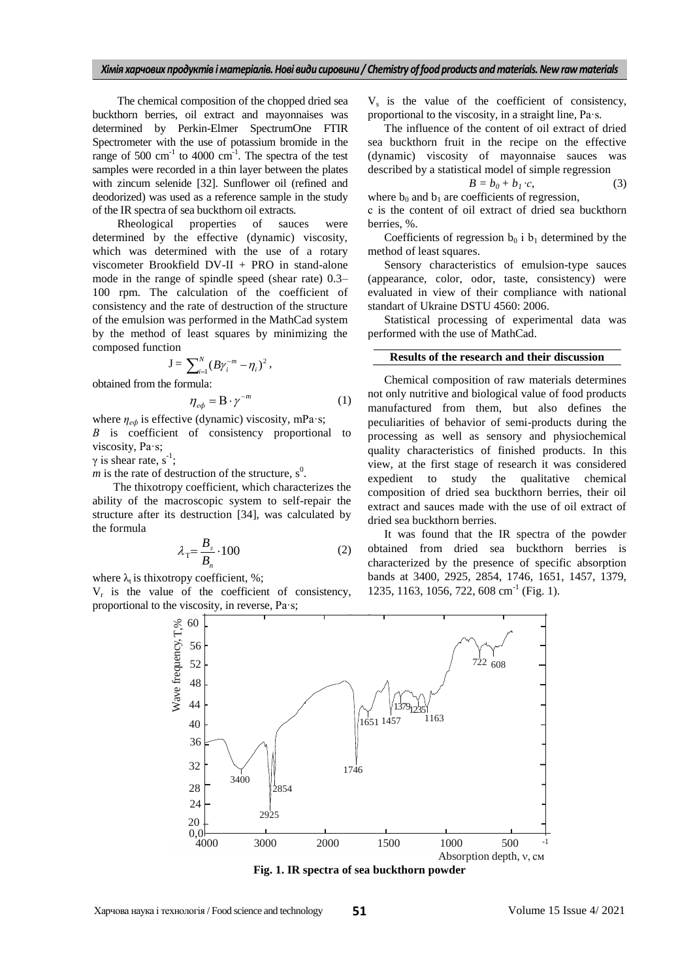The chemical composition of the chopped dried sea buckthorn berries, oil extract and mayonnaises was determined by Perkin-Elmer SpectrumOne FTIR Spectrometer with the use of potassium bromide in the range of 500  $\text{cm}^{-1}$  to 4000  $\text{cm}^{-1}$ . The spectra of the test samples were recorded in a thin layer between the plates with zincum selenide [32]. Sunflower oil (refined and deodorized) was used as a reference sample in the study of the IR spectra of sea buckthorn oil extracts.

Rheological properties of sauces were determined by the effective (dynamic) viscosity, which was determined with the use of a rotary viscometer Brookfield DV-II + PRO in stand-alone mode in the range of spindle speed (shear rate) 0.3– 100 rpm. The calculation of the coefficient of consistency and the rate of destruction of the structure of the emulsion was performed in the MathCad system by the method of least squares by minimizing the composed function

$$
J = \sum_{i=1}^{N} (B \gamma_i^{-m} - \eta_i)^2,
$$

obtained from the formula:

$$
\eta_{e\phi} = \mathbf{B} \cdot \gamma^{-m} \tag{1}
$$

where *ηеф* is effective (dynamic) viscosity, mPa·s; *В* is coefficient of consistency proportional to viscosity, Pa·s;

 $\gamma$  is shear rate, s<sup>-1</sup>;

*m* is the rate of destruction of the structure,  $s^0$ .

The thixotropy coefficient, which characterizes the ability of the macroscopic system to self-repair the structure after its destruction [34], was calculated by the formula

$$
\lambda_{\rm T} = \frac{B_{\rm s}}{B_{\rm n}} \cdot 100\tag{2}
$$

where  $\lambda_t$  is thixotropy coefficient, %;

 $V_r$  is the value of the coefficient of consistency, proportional to the viscosity, in reverse, Pa·s;

 $V_s$  is the value of the coefficient of consistency, proportional to the viscosity, in a straight line, Pa·s.

The influence of the content of oil extract of dried sea buckthorn fruit in the recipe on the effective (dynamic) viscosity of mayonnaise sauces was described by a statistical model of simple regression

$$
B = b_0 + b_1 \cdot c,\tag{3}
$$

where  $b_0$  and  $b_1$  are coefficients of regression, с is the content of oil extract of dried sea buckthorn berries, %.

Coefficients of regression  $b_0$  i  $b_1$  determined by the method of least squares.

Sensory characteristics of emulsion-type sauces (appearance, color, odor, taste, consistency) were evaluated in view of their compliance with national standart of Ukraine DSTU 4560: 2006.

Statistical processing of experimental data was performed with the use of MathCad.

## **Results of the research and their discussion**

Chemical composition of raw materials determines not only nutritive and biological value of food products manufactured from them, but also defines the peculiarities of behavior of semi-products during the processing as well as sensory and physiochemical quality characteristics of finished products. In this view, at the first stage of research it was considered expedient to study the qualitative chemical composition of dried sea buckthorn berries, their oil extract and sauces made with the use of oil extract of dried sea buckthorn berries.

It was found that the IR spectra of the powder obtained from dried sea buckthorn berries is characterized by the presence of specific absorption bands at 3400, 2925, 2854, 1746, 1651, 1457, 1379, 1235, 1163, 1056, 722, 608 cm<sup>-1</sup> (Fig. 1).



**Fig. 1. IR spectra of sea buckthorn powder**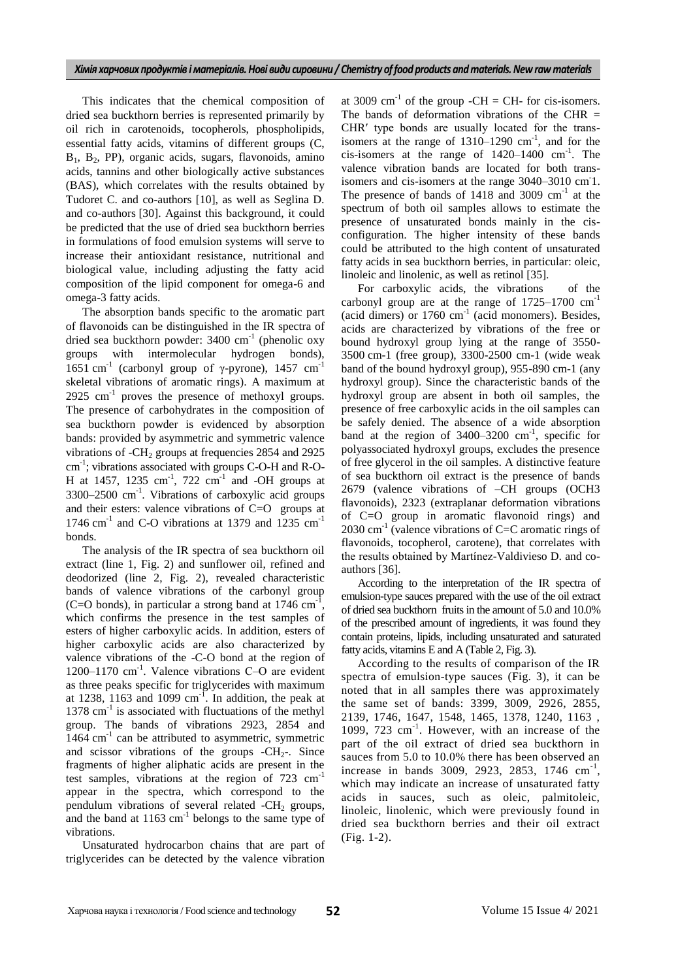This indicates that the chemical composition of dried sea buckthorn berries is represented primarily by oil rich in carotenoids, tocopherols, phospholipids, essential fatty acids, vitamins of different groups (C,  $B_1$ ,  $B_2$ , PP), organic acids, sugars, flavonoids, amino acids, tannins and other biologically active substances (BAS), which correlates with the results obtained by Tudoret C. and co-authors [10], as well as Seglina D. and co-authors [30]. Against this background, it could be predicted that the use of dried sea buckthorn berries in formulations of food emulsion systems will serve to increase their antioxidant resistance, nutritional and biological value, including adjusting the fatty acid composition of the lipid component for omega-6 and omega-3 fatty acids.

The absorption bands specific to the aromatic part of flavonoids can be distinguished in the IR spectra of dried sea buckthorn powder: 3400 cm<sup>-1</sup> (phenolic oxy groups with intermolecular hydrogen bonds), 1651 cm<sup>-1</sup> (carbonyl group of γ-pyrone), 1457 cm<sup>-1</sup> skeletal vibrations of aromatic rings). A maximum at  $2925 \text{ cm}^{-1}$  proves the presence of methoxyl groups. The presence of carbohydrates in the composition of sea buckthorn powder is evidenced by absorption bands: provided by asymmetric and symmetric valence vibrations of  $-CH<sub>2</sub>$  groups at frequencies 2854 and 2925 cm-1 ; vibrations associated with groups C-O-H and R-O-H at 1457, 1235  $cm^{-1}$ , 722  $cm^{-1}$  and -OH groups at  $3300-2500$  cm<sup>-1</sup>. Vibrations of carboxylic acid groups and their esters: valence vibrations of C=O groups at 1746  $\text{cm}^{-1}$  and C-O vibrations at 1379 and 1235  $\text{cm}^{-1}$ bonds.

The analysis of the IR spectra of sea buckthorn oil extract (line 1, Fig. 2) and sunflower oil, refined and deodorized (line 2, Fig. 2), revealed characteristic bands of valence vibrations of the carbonyl group (C=O bonds), in particular a strong band at  $1746 \text{ cm}^{-1}$ , which confirms the presence in the test samples of esters of higher carboxylic acids. In addition, esters of higher carboxylic acids are also characterized by valence vibrations of the -C-O bond at the region of 1200–1170 cm<sup>-1</sup>. Valence vibrations C-O are evident as three peaks specific for triglycerides with maximum at 1238, 1163 and 1099  $cm^{-1}$ . In addition, the peak at 1378 cm<sup>-1</sup> is associated with fluctuations of the methyl group. The bands of vibrations 2923, 2854 and 1464 cm<sup>-1</sup> can be attributed to asymmetric, symmetric and scissor vibrations of the groups  $-CH_2$ -. Since fragments of higher aliphatic acids are present in the test samples, vibrations at the region of 723 cm<sup>-1</sup> appear in the spectra, which correspond to the pendulum vibrations of several related -CH<sub>2</sub> groups, and the band at  $1163 \text{ cm}^{-1}$  belongs to the same type of vibrations.

Unsaturated hydrocarbon chains that are part of triglycerides can be detected by the valence vibration

at 3009  $\text{cm}^{-1}$  of the group -CH = CH- for cis-isomers. The bands of deformation vibrations of the CHR  $=$ CHR′ type bonds are usually located for the transisomers at the range of  $1310-1290$  cm<sup>-1</sup>, and for the cis-isomers at the range of  $1420-1400$  cm<sup>-1</sup>. The valence vibration bands are located for both transisomers and cis-isomers at the range 3040-3010 cm<sup>-1</sup>. The presence of bands of  $1418$  and  $3009$  cm<sup>-1</sup> at the spectrum of both oil samples allows to estimate the presence of unsaturated bonds mainly in the cisconfiguration. The higher intensity of these bands could be attributed to the high content of unsaturated fatty acids in sea buckthorn berries, in particular: oleic, linoleic and linolenic, as well as retinol [35].

For carboxylic acids, the vibrations of the carbonyl group are at the range of  $1725-1700$  cm<sup>-1</sup> (acid dimers) or  $1760 \text{ cm}^{-1}$  (acid monomers). Besides, acids are characterized by vibrations of the free or bound hydroxyl group lying at the range of 3550- 3500 cm-1 (free group), 3300-2500 cm-1 (wide weak band of the bound hydroxyl group), 955-890 cm-1 (any hydroxyl group). Since the characteristic bands of the hydroxyl group are absent in both oil samples, the presence of free carboxylic acids in the oil samples can be safely denied. The absence of a wide absorption band at the region of  $3400-3200$  cm<sup>-1</sup>, specific for polyassociated hydroxyl groups, excludes the presence of free glycerol in the oil samples. A distinctive feature of sea buckthorn oil extract is the presence of bands 2679 (valence vibrations of –CH groups (OCH3 flavonoids), 2323 (extraplanar deformation vibrations of C=O group in aromatic flavonoid rings) and  $2030 \text{ cm}^{-1}$  (valence vibrations of C=C aromatic rings of flavonoids, tocopherol, carotene), that correlates with the results obtained by Martínez-Valdivieso D. and coauthors [36].

According to the interpretation of the IR spectra of emulsion-type sauces prepared with the use of the oil extract of dried sea buckthorn fruits in the amount of 5.0 and 10.0% of the prescribed amount of ingredients, it was found they contain proteins, lipids, including unsaturated and saturated fatty acids, vitamins E and A (Table 2, Fig. 3).

According to the results of comparison of the IR spectra of emulsion-type sauces (Fig. 3), it can be noted that in all samples there was approximately the same set of bands: 3399, 3009, 2926, 2855, 2139, 1746, 1647, 1548, 1465, 1378, 1240, 1163 , 1099, 723 cm<sup>-1</sup>. However, with an increase of the part of the oil extract of dried sea buckthorn in sauces from 5.0 to 10.0% there has been observed an increase in bands 3009, 2923, 2853, 1746  $cm^{-1}$ , which may indicate an increase of unsaturated fatty acids in sauces, such as oleic, palmitoleic, linoleic, linolenic, which were previously found in dried sea buckthorn berries and their oil extract (Fig. 1-2).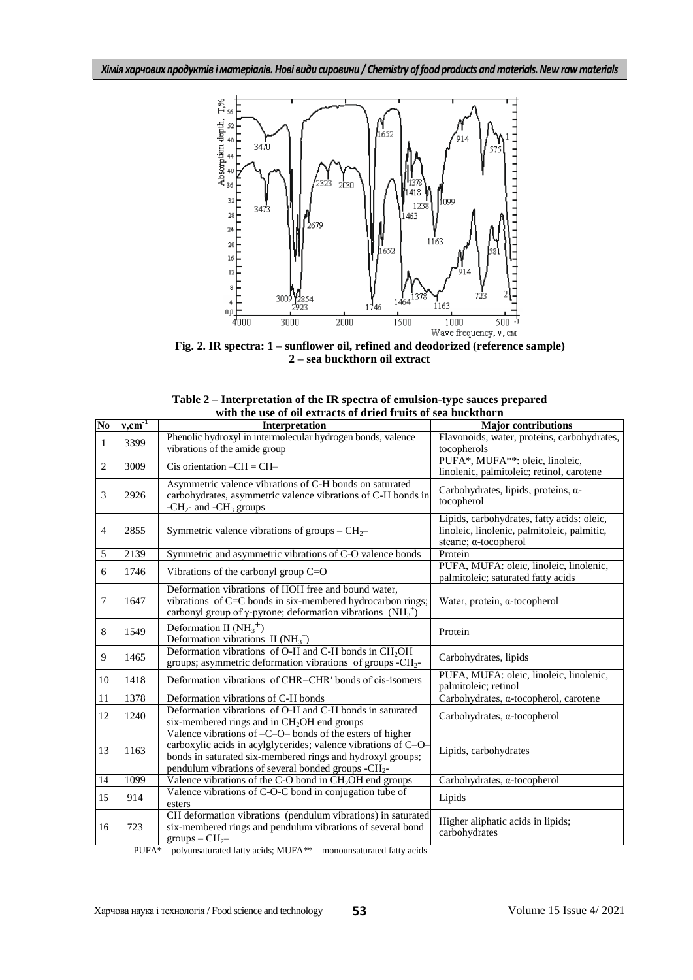

**Fig. 2. IR spectra: 1 – sunflower oil, refined and deodorized (reference sample) 2 – sea buckthorn oil extract** 

| Table 2 – Interpretation of the IR spectra of emulsion-type sauces prepared |  |
|-----------------------------------------------------------------------------|--|
| with the use of oil extracts of dried fruits of sea buckthorn               |  |

| $\overline{\text{No}}$ | $v, cm^{-1}$ | Interpretation                                                                                                                                                                                                                                                  | <b>Major</b> contributions                                                                                         |
|------------------------|--------------|-----------------------------------------------------------------------------------------------------------------------------------------------------------------------------------------------------------------------------------------------------------------|--------------------------------------------------------------------------------------------------------------------|
| $\mathbf{1}$           | 3399         | Phenolic hydroxyl in intermolecular hydrogen bonds, valence<br>vibrations of the amide group                                                                                                                                                                    | Flavonoids, water, proteins, carbohydrates,<br>tocopherols                                                         |
| $\overline{2}$         | 3009         | Cis orientation $-CH = CH-$                                                                                                                                                                                                                                     | PUFA*, MUFA**: oleic, linoleic,<br>linolenic, palmitoleic; retinol, carotene                                       |
| 3                      | 2926         | Asymmetric valence vibrations of C-H bonds on saturated<br>carbohydrates, asymmetric valence vibrations of C-H bonds in<br>- $CH2$ - and -CH <sub>3</sub> groups                                                                                                | Carbohydrates, lipids, proteins, α-<br>tocopherol                                                                  |
| $\overline{4}$         | 2855         | Symmetric valence vibrations of groups – $CH_2$ –                                                                                                                                                                                                               | Lipids, carbohydrates, fatty acids: oleic,<br>linoleic, linolenic, palmitoleic, palmitic,<br>stearic; a-tocopherol |
| 5                      | 2139         | Symmetric and asymmetric vibrations of C-O valence bonds                                                                                                                                                                                                        | Protein                                                                                                            |
| 6                      | 1746         | Vibrations of the carbonyl group $C=O$                                                                                                                                                                                                                          | PUFA, MUFA: oleic, linoleic, linolenic,<br>palmitoleic; saturated fatty acids                                      |
| $\tau$                 | 1647         | Deformation vibrations of HOH free and bound water,<br>vibrations of C=C bonds in six-membered hydrocarbon rings;<br>carbonyl group of $\gamma$ -pyrone; deformation vibrations (NH <sub>3</sub> <sup>+</sup> )                                                 | Water, protein, $\alpha$ -tocopherol                                                                               |
| 8                      | 1549         | Deformation II $(NH_3^+)$<br>Deformation vibrations II $(NH_3^+)$                                                                                                                                                                                               | Protein                                                                                                            |
| 9                      | 1465         | Deformation vibrations of O-H and C-H bonds in CH <sub>2</sub> OH<br>groups; asymmetric deformation vibrations of groups -CH <sub>2</sub> -                                                                                                                     | Carbohydrates, lipids                                                                                              |
| 10                     | 1418         | Deformation vibrations of CHR=CHR' bonds of cis-isomers                                                                                                                                                                                                         | PUFA, MUFA: oleic, linoleic, linolenic,<br>palmitoleic; retinol                                                    |
| 11                     | 1378         | Deformation vibrations of C-H bonds                                                                                                                                                                                                                             | Carbohydrates, a-tocopherol, carotene                                                                              |
| 12                     | 1240         | Deformation vibrations of O-H and C-H bonds in saturated<br>six-membered rings and in CH <sub>2</sub> OH end groups                                                                                                                                             | Carbohydrates, $\alpha$ -tocopherol                                                                                |
| 13                     | 1163         | Valence vibrations of $-C$ -O- bonds of the esters of higher<br>carboxylic acids in acylglycerides; valence vibrations of C-O-<br>bonds in saturated six-membered rings and hydroxyl groups;<br>pendulum vibrations of several bonded groups -CH <sub>2</sub> - | Lipids, carbohydrates                                                                                              |
| $\overline{14}$        | 1099         | Valence vibrations of the C-O bond in CH <sub>2</sub> OH end groups                                                                                                                                                                                             | Carbohydrates, a-tocopherol                                                                                        |
| 15                     | 914          | Valence vibrations of C-O-C bond in conjugation tube of<br>esters                                                                                                                                                                                               | Lipids                                                                                                             |
| 16                     | 723          | CH deformation vibrations (pendulum vibrations) in saturated<br>six-membered rings and pendulum vibrations of several bond<br>$groups - CH2$                                                                                                                    | Higher aliphatic acids in lipids;<br>carbohydrates                                                                 |

PUFA\* – polyunsaturated fatty acids; MUFA\*\* – monounsaturated fatty acids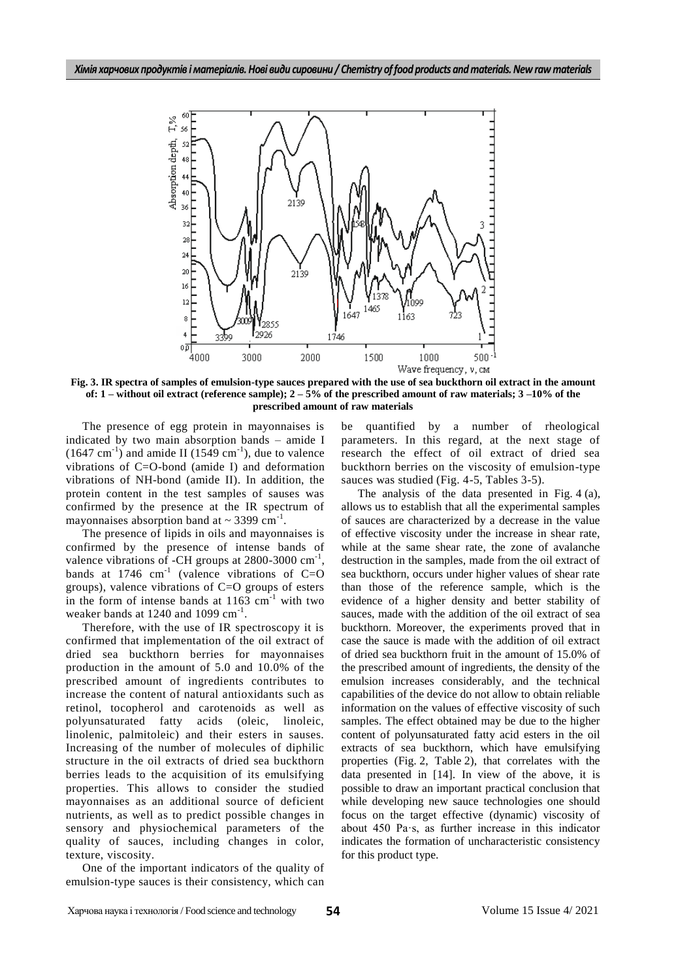

**Fig. 3. IR spectra of samples of emulsion-type sauces prepared with the use of sea buckthorn oil extract in the amount of: 1 – without oil extract (reference sample); 2 – 5% of the prescribed amount of raw materials; 3 –10% of the prescribed amount of raw materials**

The presence of egg protein in mayonnaises is indicated by two main absorption bands – amide I  $(1647 \text{ cm}^{-1})$  and amide II  $(1549 \text{ cm}^{-1})$ , due to valence vibrations of C=O-bond (amide I) and deformation vibrations of NH-bond (amide II). In addition, the protein content in the test samples of sauses was confirmed by the presence at the IR spectrum of mayonnaises absorption band at  $\sim$  3399 cm<sup>-1</sup>.

The presence of lipids in oils and mayonnaises is confirmed by the presence of intense bands of valence vibrations of -CH groups at  $2800$ -3000 cm<sup>-1</sup>, bands at 1746  $cm^{-1}$  (valence vibrations of C=O groups), valence vibrations of C=O groups of esters in the form of intense bands at  $1163 \text{ cm}^{-1}$  with two weaker bands at 1240 and 1099 cm<sup>-1</sup>.

Therefore, with the use of IR spectroscopy it is confirmed that implementation of the oil extract of dried sea buckthorn berries for mayonnaises production in the amount of 5.0 and 10.0% of the prescribed amount of ingredients contributes to increase the content of natural antioxidants such as retinol, tocopherol and carotenoids as well as polyunsaturated fatty acids (oleic, linoleic, linolenic, palmitoleic) and their esters in sauses. Increasing of the number of molecules of diphilic structure in the oil extracts of dried sea buckthorn berries leads to the acquisition of its emulsifying properties. This allows to consider the studied mayonnaises as an additional source of deficient nutrients, as well as to predict possible changes in sensory and physiochemical parameters of the quality of sauces, including changes in color, texture, viscosity.

One of the important indicators of the quality of emulsion-type sauces is their consistency, which can be quantified by a number of rheological parameters. In this regard, at the next stage of research the effect of oil extract of dried sea buckthorn berries on the viscosity of emulsion-type sauces was studied (Fig. 4-5, Tables 3-5).

The analysis of the data presented in Fig. 4 (a), allows us to establish that all the experimental samples of sauces are characterized by a decrease in the value of effective viscosity under the increase in shear rate, while at the same shear rate, the zone of avalanche destruction in the samples, made from the oil extract of sea buckthorn, occurs under higher values of shear rate than those of the reference sample, which is the evidence of a higher density and better stability of sauces, made with the addition of the oil extract of sea buckthorn. Moreover, the experiments proved that in case the sauce is made with the addition of oil extract of dried sea buckthorn fruit in the amount of 15.0% of the prescribed amount of ingredients, the density of the emulsion increases considerably, and the technical capabilities of the device do not allow to obtain reliable information on the values of effective viscosity of such samples. The effect obtained may be due to the higher content of polyunsaturated fatty acid esters in the oil extracts of sea buckthorn, which have emulsifying properties (Fig. 2, Table 2), that correlates with the data presented in [14]. In view of the above, it is possible to draw an important practical conclusion that while developing new sauce technologies one should focus on the target effective (dynamic) viscosity of about 450 Pa·s, as further increase in this indicator indicates the formation of uncharacteristic consistency for this product type.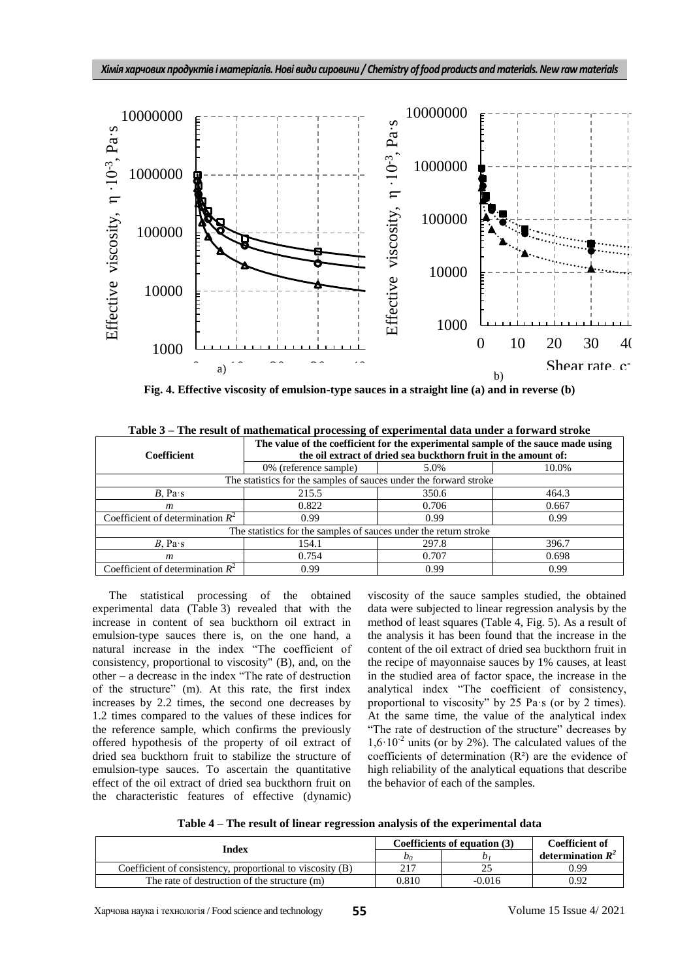

Fig. 4. Effective viscosity of emulsion-type sauces in a straight line (a) and in reverse (b)

|                                                                  | The value of the coefficient for the experimental sample of the sauce made using |       |       |  |
|------------------------------------------------------------------|----------------------------------------------------------------------------------|-------|-------|--|
| <b>Coefficient</b>                                               | the oil extract of dried sea buckthorn fruit in the amount of:                   |       |       |  |
|                                                                  | 0% (reference sample)                                                            | 5.0%  | 10.0% |  |
|                                                                  | The statistics for the samples of sauces under the forward stroke                |       |       |  |
| $B$ , Pa $\cdot$ s                                               | 215.5                                                                            | 350.6 | 464.3 |  |
| $\boldsymbol{m}$                                                 | 0.822                                                                            | 0.706 | 0.667 |  |
| Coefficient of determination $R^2$                               | 0.99                                                                             | 0.99  | 0.99  |  |
| The statistics for the samples of sauces under the return stroke |                                                                                  |       |       |  |
| $B$ , Pa $\cdot$ s                                               | 154.1                                                                            | 297.8 | 396.7 |  |
| m                                                                | 0.754                                                                            | 0.707 | 0.698 |  |
| Coefficient of determination $R^2$                               | 0.99                                                                             | 0.99  | 0.99  |  |

**Table 3 – The result of mathematical processing of experimental data under a forward stroke** 

The statistical processing of the obtained experimental data (Table 3) revealed that with the increase in content of sea buckthorn oil extract in emulsion-type sauces there is, on the one hand, a natural increase in the index "The coefficient of consistency, proportional to viscosity" (B), and, on the  $other - a decrease in the index "The rate of destruction"$ of the structure" (m). At this rate, the first index increases by 2.2 times, the second one decreases by 1.2 times compared to the values of these indices for the reference sample, which confirms the previously offered hypothesis of the property of oil extract of dried sea buckthorn fruit to stabilize the structure of emulsion-type sauces. To ascertain the quantitative effect of the oil extract of dried sea buckthorn fruit on the characteristic features of effective (dynamic)

viscosity of the sauce samples studied, the obtained data were subjected to linear regression analysis by the method of least squares (Table 4, Fig. 5). As a result of the analysis it has been found that the increase in the content of the oil extract of dried sea buckthorn fruit in the recipe of mayonnaise sauces by 1% causes, at least in the studied area of factor space, the increase in the analytical index "The coefficient of consistency, proportional to viscosity" by 25 Pa·s (or by 2 times). At the same time, the value of the analytical index "The rate of destruction of the structure" decreases by  $1,6.10<sup>-2</sup>$  units (or by 2%). The calculated values of the coefficients of determination (R²) are the evidence of high reliability of the analytical equations that describe the behavior of each of the samples.

**Table 4 – The result of linear regression analysis of the experimental data**

| Index                                                     | Coefficients of equation (3) |        | Coefficient of      |
|-----------------------------------------------------------|------------------------------|--------|---------------------|
|                                                           | Do                           |        | determination $R^2$ |
| Coefficient of consistency, proportional to viscosity (B) | 217                          |        | 0.99                |
| The rate of destruction of the structure (m)              | 0.810                        | -0.016 | 0.92                |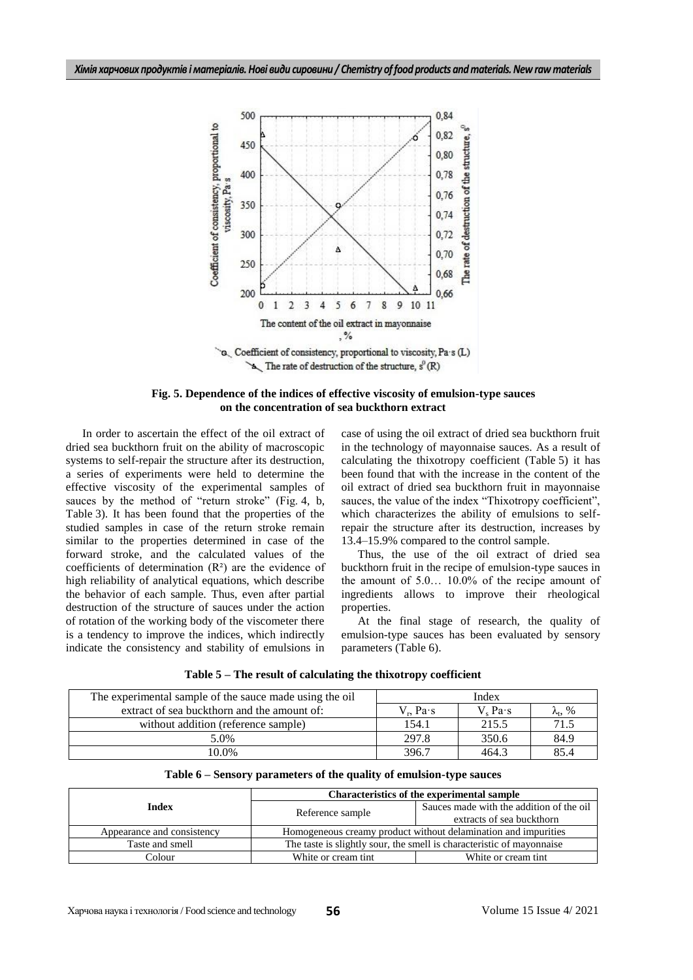

**Fig. 5. Dependence of the indices of effective viscosity of emulsion-type sauces on the concentration of sea buckthorn extract**

In order to ascertain the effect of the oil extract of dried sea buckthorn fruit on the ability of macroscopic systems to self-repair the structure after its destruction, a series of experiments were held to determine the effective viscosity of the experimental samples of sauces by the method of "return stroke" (Fig. 4, b, Table 3). It has been found that the properties of the studied samples in case of the return stroke remain similar to the properties determined in case of the forward stroke, and the calculated values of the coefficients of determination  $(R<sup>2</sup>)$  are the evidence of high reliability of analytical equations, which describe the behavior of each sample. Thus, even after partial destruction of the structure of sauces under the action of rotation of the working body of the viscometer there is a tendency to improve the indices, which indirectly indicate the consistency and stability of emulsions in

case of using the oil extract of dried sea buckthorn fruit in the technology of mayonnaise sauces. As a result of calculating the thixotropy coefficient (Table 5) it has been found that with the increase in the content of the oil extract of dried sea buckthorn fruit in mayonnaise sauces, the value of the index "Thixotropy coefficient", which characterizes the ability of emulsions to selfrepair the structure after its destruction, increases by 13.4–15.9% compared to the control sample.

Thus, the use of the oil extract of dried sea buckthorn fruit in the recipe of emulsion-type sauces in the amount of 5.0… 10.0% of the recipe amount of ingredients allows to improve their rheological properties.

At the final stage of research, the quality of emulsion-type sauces has been evaluated by sensory parameters (Table 6).

|  |  |  |  | Table 5 - The result of calculating the thixotropy coefficient |  |
|--|--|--|--|----------------------------------------------------------------|--|
|--|--|--|--|----------------------------------------------------------------|--|

| The experimental sample of the sauce made using the oil | Index                |                           |                       |
|---------------------------------------------------------|----------------------|---------------------------|-----------------------|
| extract of sea buckthorn and the amount of:             | $V_{n}$ Pa $\cdot$ s | $V_{\alpha}$ Pa $\cdot$ s | $\lambda_{\rm t}$ , % |
| without addition (reference sample)                     | 154.1                | 215.5                     | 71.5                  |
| 5.0%                                                    | 297.8                | 350.6                     | 84.9                  |
| 10.0%                                                   | 396.7                | 464.3                     | 85.4                  |

|  |  |  | Table 6 – Sensory parameters of the quality of emulsion-type sauces |
|--|--|--|---------------------------------------------------------------------|
|--|--|--|---------------------------------------------------------------------|

|                            | <b>Characteristics of the experimental sample</b>                     |                                          |  |
|----------------------------|-----------------------------------------------------------------------|------------------------------------------|--|
| Index                      | Reference sample                                                      | Sauces made with the addition of the oil |  |
|                            |                                                                       | extracts of sea buckthorn                |  |
| Appearance and consistency | Homogeneous creamy product without delamination and impurities        |                                          |  |
| Taste and smell            | The taste is slightly sour, the smell is characteristic of mayonnaise |                                          |  |
| Colour                     | White or cream tint                                                   | White or cream tint                      |  |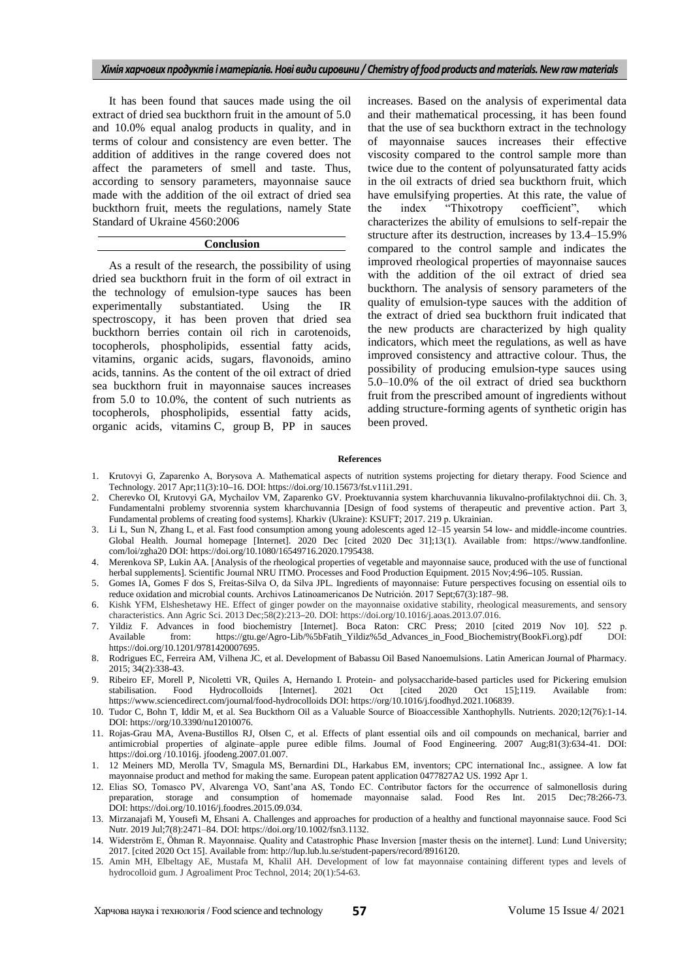It has been found that sauces made using the oil extract of dried sea buckthorn fruit in the amount of 5.0 and 10.0% equal analog products in quality, and in terms of colour and consistency are even better. The addition of additives in the range covered does not affect the parameters of smell and taste. Thus, according to sensory parameters, mayonnaise sauce made with the addition of the oil extract of dried sea buckthorn fruit, meets the regulations, namely State Standard of Ukraine 4560:2006

### **Conclusion**

As a result of the research, the possibility of using dried sea buckthorn fruit in the form of oil extract in the technology of emulsion-type sauces has been experimentally substantiated. Using the IR spectroscopy, it has been proven that dried sea buckthorn berries contain oil rich in carotenoids, tocopherols, phospholipids, essential fatty acids, vitamins, organic acids, sugars, flavonoids, amino acids, tannins. As the content of the oil extract of dried sea buckthorn fruit in mayonnaise sauces increases from 5.0 to 10.0%, the content of such nutrients as tocopherols, phospholipids, essential fatty acids, organic acids, vitamins C, group B, PP in sauces increases. Based on the analysis of experimental data and their mathematical processing, it has been found that the use of sea buckthorn extract in the technology of mayonnaise sauces increases their effective viscosity compared to the control sample more than twice due to the content of polyunsaturated fatty acids in the oil extracts of dried sea buckthorn fruit, which have emulsifying properties. At this rate, the value of the index "Thixotropy coefficient", which characterizes the ability of emulsions to self-repair the structure after its destruction, increases by 13.4–15.9% compared to the control sample and indicates the improved rheological properties of mayonnaise sauces with the addition of the oil extract of dried sea buckthorn. The analysis of sensory parameters of the quality of emulsion-type sauces with the addition of the extract of dried sea buckthorn fruit indicated that the new products are characterized by high quality indicators, which meet the regulations, as well as have improved consistency and attractive colour. Thus, the possibility of producing emulsion-type sauces using 5.0–10.0% of the oil extract of dried sea buckthorn fruit from the prescribed amount of ingredients without adding structure-forming agents of synthetic origin has been proved.

#### **References**

- 1. Krutovyi G, Zaparenko А, Borysova А. Mathematical aspects of nutrition systems projecting for dietary therapy. Food Science and Technology. 2017 Apr;11(3):10**–**16. DOI: https://doi.org/10.15673/fst.v11i1.291.
- 2. Cherevko OI, Krutovyi GA, Mychailov VM, Zaparenko GV. Proektuvannia system kharchuvannia likuvalno-profilaktychnoi dii. Ch. 3, Fundamentalni problemy stvorennia system kharchuvannia [Design of food systems of therapeutic and preventive action. Part 3, Fundamental problems of creating food systems]. Kharkiv (Ukraine): KSUFT; 2017. 219 р. Ukrainian.
- 3. Li L, Sun N, Zhang L, et al. Fast food consumption among young adolescents aged 12–15 yearsin 54 low- and middle-income countries. Global Health. Journal homepage [Internet]. 2020 Dec [cited 2020 Dec 31];13(1). Available from: https://www.tandfonline. com/loi/zgha20 DOI: https://doi.org/10.1080/16549716.2020.1795438.
- 4. Merenkova SP, Lukin AA. [Analysis of the rheological properties of vegetable and mayonnaise sauce, produced with the use of functional herbal supplements]. Scientific Journal NRU ITMO. Processes and Food Production Equipment. 2015 Nov;4:96**–**105. Russian.
- 5. Gomes IA, Gomes F dos S, Freitas-Silva O, da Silva JPL. Ingredients of mayonnaise: Future perspectives focusing on essential oils to reduce oxidation and microbial counts. Archivos Latinoamericanos De Nutrición. 2017 Sept;67(3):187–98.
- 6. Kishk YFM, Elsheshetawy HE. Effect of ginger powder on the mayonnaise oxidative stability, rheological measurements, and sensory characteristics. Ann Agric Sci. 2013 Dec;58(2):213**–**20. DOI: https://doi.org/10.1016/j.aoas.2013.07.016.
- 7. Yildiz F. Advances in food biochemistry [Internet]. Boca Raton: CRC Press; 2010 [cited 2019 Nov 10]. 522 р. Available from: https://gtu.ge/Agro-Lib/%5bFatih\_Yildiz%5d\_Advances\_in\_Food\_Biochemistry(BookFi.org).pdf DOI: https://doi.org/10.1201/9781420007695.
- 8. Rodrigues EC, Ferreira AM, Vilhena JC, et al. Development of Babassu Oil Based Nanoemulsions. Latin American Journal of Pharmacy. 2015; 34(2):338**-**43.
- 9. Ribeiro EF, Morell P, Nicoletti VR, Quiles A, Hernando I. Protein- and polysaccharide-based particles used for Pickering emulsion stabilisation. Food Hydrocolloids [Internet]. 2021 Oct [cited 2020 Oct 15];119. Available stabilisation. Food Hydrocolloids [Internet]. 2021 Oct [cited 2020 Oct 15];119. Available from: https://www.sciencedirect.com/journal/food-hydrocolloids DOI: https://org/10.1016/j.foodhyd.2021.106839.
- 10. Tudor C, Bohn T, Iddir M, et al. Sea Buckthorn Oil as a Valuable Source of Bioaccessible Xanthophylls. Nutrients. 2020;12(76):1**-**14. DOI: https://org/10.3390/nu12010076.
- 11. Rojas-Grau MA, Avena-Bustillos RJ, Olsen C, et al. [Effects of plant essential oils and oil compounds on mechanical, barrier and](https://www.sciencedirect.com/science/article/pii/S0260877407000453)  [antimicrobial properties of alginate–apple puree edible films.](https://www.sciencedirect.com/science/article/pii/S0260877407000453) Journal of Food Engineering. 2007 Aug;81(3):634-41. DOI: https://doi.org /10.1016j. jfoodeng.2007.01.007.
- 1. 12 Meiners MD, Merolla TV, Smagula MS, Bernardini DL, Harkabus EM, inventors; CPC international Inc., assignee. A low fat mayonnaise product and method for making the same. European patent application 0477827A2 US. 1992 Apr 1.
- 12. Elias SO, Tomasco PV, Alvarenga VO, Sant'ana AS, Tondo EC. Contributor factors for the occurrence of salmonellosis during preparation, storage and consumption of homemade mayonnaise salad. Food Res Int. 2015 Dec:78:266 preparation, storage and consumption of homemade mayonnaise salad. Food Res Int. 2015 DOI: https://doi.org/10.1016/j.foodres.2015.09.034.
- 13. Mirzanajafi M, Yousefi M, Ehsani A. Challenges and approaches for production of a healthy and functional mayonnaise sauce. Food Sci Nutr*.* 2019 Jul;7(8):2471–84. DOI: https://doi.org/10.1002/fsn3.1132.
- 14. Widerström E, Öhman R. Mayonnaise. Quality and Catastrophic Phase Inversion [master thesis on the internet]. Lund: Lund University; 2017. [cited 2020 Oct 15]. Available from: http://lup.lub.lu.se/student-papers/record/8916120.
- 15. Amin MH, Elbeltagy AE, Mustafa M, Khalil AH. Development of low fat mayonnaise containing different types and levels of hydrocolloid gum. J Agroaliment Proc Technol, 2014; 20(1):54**-**63.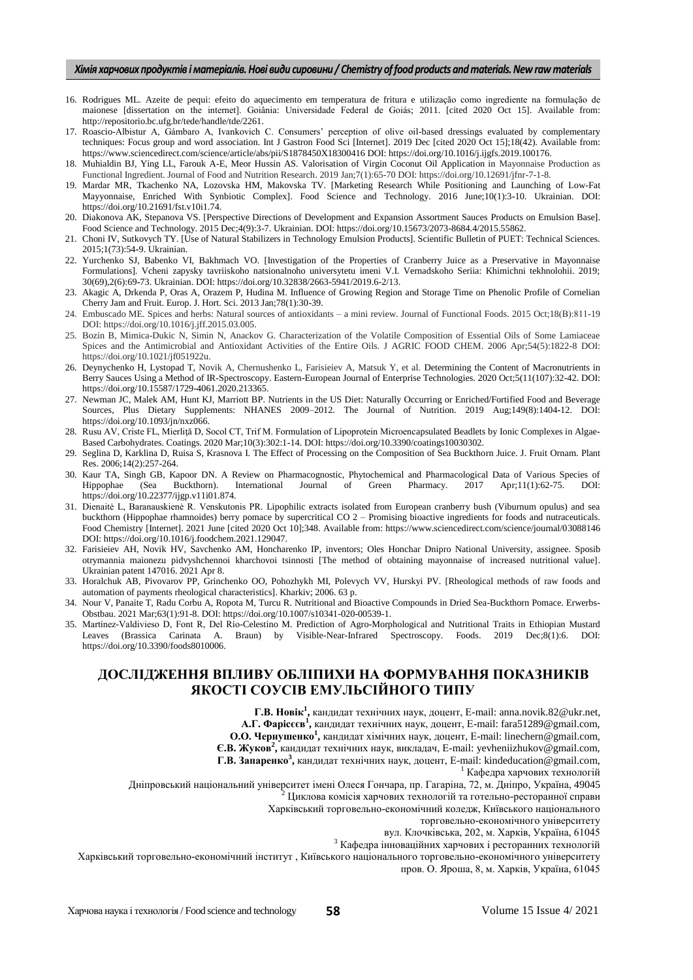- 16. Rodrigues ML. Azeite de pequi: efeito do aquecimento em temperatura de fritura e utilização como ingrediente na formulação de maionese [dissertation on the internet]. Goiânia: Universidade Federal de Goiás; 2011. [cited 2020 Oct 15]. Available from: http://repositorio.bc.ufg.br/tede/handle/tde/2261.
- 17. Roascio-Albistur A, Gámbaro A, Ivankovich C. Consumers' perception of olive oil-based dressings evaluated by complementary techniques: Focus group and word association. Int J Gastron Food Sci [Internet]. 2019 Dec [cited 2020 Oct 15];18(42). Available from: https://www.sciencedirect.com/science/article/abs/pii/S1878450X18300416 DOI: https://doi.org/10.1016/j.ijgfs.2019.100176.
- 18. Muhialdin BJ, Ying LL, Farouk A-E, Meor Hussin AS. Valorisation of Virgin Coconut Oil Application in Mayonnaise Production as Functional Ingredient. Journal of Food and Nutrition Research. 2019 Jan;7(1):65-70 DOI: https://doi.org/10.12691/jfnr-7-1-8.
- 19. Mardar MR, Tkachenko NA, Lozovska HM, Makovska TV. [Marketing Research While Positioning and Launching of Low-Fat Mayyonnaise, Enriched With Synbiotic Complex]. Food Science and Technology. 2016 June;10(1):3**-**10. Ukrainian. DOI: https://doi.org/10.21691/fst.v10i1.74.
- 20. Diakonova AK, Stepanova VS. [Perspective Directions of Development and Expansion Assortment Sauces Products on Emulsion Base]. Food Science and Technology. 2015 Dec;4(9):3-7. Ukrainian. DOI: https://doi.org/10.15673/2073-8684.4/2015.55862.
- 21. Choni IV, Sutkovych TY. [Use of Natural Stabilizers in Technology Emulsion Products]. Scientific Bulletin of PUET: Technical Sciences. 2015;1(73):54**-**9. Ukrainian.
- 22. Yurchenko SJ, Babenko VI, Bakhmach VO. [Investigation of the Properties of Cranberry Juice as a Preservative in Mayonnaise Formulations]. Vcheni zapysky tavriiskoho natsionalnoho universytetu imeni V.I. Vernadskoho Seriia: Khimichni tekhnolohii. 2019; 30(69),2(6):69**-**73. Ukrainian. DOI: https://doi.org/10.32838/2663-5941/2019.6-2/13.
- 23. Akagic A, Drkenda P, Oras A, Orazem P, Hudina M. Influence of Growing Region and Storage Time on Phenolic Profile of Cornelian Cherry Jam and Fruit. Europ. J. Hort. Sci. 2013 Jan;78(1):30-39.
- 24. Embuscado ME. Spices and herbs: Natural sources of antioxidants a mini review. Journal of Functional Foods. 2015 Oct;18(В):811-19 DOI: https://doi.org/10.1016/j.jff.2015.03.005.
- 25. Bozin B, Mimica-Dukic N, Simin N, Anackov G. Characterization of the Volatile Composition of Essential Oils of Some Lamiaceae Spices and the Antimicrobial and Antioxidant Activities of the Entire Oils. J AGRIC FOOD CHEM. 2006 Apr;54(5):1822-8 DOI: https://doi.org/10.1021/jf051922u.
- 26. Deynychenko H, Lystopad T, Novik A, Chernushenko L, Farisieiev A, Matsuk Y, et al. Determining the Content of Macronutrients in Berry Sauces Using a Method of IR-Spectroscopy. Eastern-European Journal of Enterprise Technologies. 2020 Oct;5(11(107):32-42. DOI: https://doi.org/10.15587/1729-4061.2020.213365.
- 27. Newman JC, Malek AM, Hunt KJ, Marriott BP. Nutrients in the US Diet: Naturally Occurring or Enriched/Fortified Food and Beverage Sources, Plus Dietary Supplements: NHANES 2009–2012. The Journal of Nutrition. 2019 Aug;149(8):1404**-**12. DOI: https://doi.org/10.1093/jn/nxz066.
- 28. Rusu AV, Criste FL, Mierliţă D, Socol CT, Trif M. Formulation of Lipoprotein Microencapsulated Beadlets by Ionic Complexes in Algae-Based Carbohydrates. Coatings. 2020 Mar;10(3):302:1-14. DOI: https://doi.org/10.3390/coatings10030302.
- 29. Seglina D, Karklina D, Ruisa S, Krasnova I. The Effect of Processing on the Composition of Sea Buckthorn Juice. J. Fruit Ornam. Plant Res. 2006;14(2):257-264.
- 30. Kaur TA, Singh GB, Kapoor DN. A Review on Pharmacognostic, Phytochemical and Pharmacological Data of Various Species of Hippophae (Sea Buckthorn). International Journal of Green Pharmacy. 2017 Apr;11(1):62-75. DOI: https://doi.org/10.22377/ijgp.v11i01.874.
- 31. Dienaitė L, Baranauskienė R. Venskutonis PR. Lipophilic extracts isolated from European cranberry bush (Viburnum opulus) and sea buckthorn (Hippophae rhamnoides) berry pomace by supercritical CO 2 – Promising bioactive ingredients for foods and nutraceuticals. Food Chemistry [Internet]. 2021 June [cited 2020 Oct 10];348. Available from: https://www.sciencedirect.com/science/journal/03088146 DOI: https://doi.org/10.1016/j.foodchem.2021.129047.
- 32. Farisieiev AH, Novik HV, Savchenko AM, Honcharenko IP, inventors; Oles Honchar Dnipro National University, assignee. Sposib otrymannia maionezu pidvyshchennoi kharchovoi tsinnosti [The method of obtaining mayonnaise of increased nutritional value]. Ukrainian patent 147016. 2021 Apr 8.
- 33. Horalchuk AB, Pivovarov PP, Grinchenko OO, Pohozhykh MI, Polevych VV, Hurskyi PV. [Rheological methods of raw foods and automation of payments rheological characteristics]. Kharkiv; 2006. 63 p.
- 34. Nour V, Panaite T, Radu Corbu A, Ropota M, Turcu R. Nutritional and Bioactive Compounds in Dried Sea-Buckthorn Pomace. Erwerbs-Obstbau. 2021 Mar;63(1):91-8. DOI: https://doi.org/10.1007/s10341-020-00539-1.
- 35. Martínez-Valdivieso D, Font R, Del Río-Celestino M. Prediction of Agro-Morphological and Nutritional Traits in Ethiopian Mustard Leaves (Brassica Carinata A. Braun) by Visible-Near-Infrared Spectroscopy. Foods. 2019 Dec;8(1):6. DOI: https://doi.org/10.3390/foods8010006.

# **ДОСЛІДЖЕННЯ ВПЛИВУ ОБЛІПИХИ НА ФОРМУВАННЯ ПОКАЗНИКІВ ЯКОСТІ СОУСІВ ЕМУЛЬСІЙНОГО ТИПУ**

**Г.В. Новік<sup>1</sup> ,** кандидат технічних наук, доцент, Е-mail: anna.novik.82@ukr.net, **А.Г. Фарісєєв<sup>1</sup> ,** кандидат технічних наук, доцент, Е-mail: fara51289@gmail.com,

**О.О. Чернушенко<sup>1</sup> ,** кандидат хімічних наук, доцент, Е-mail: linechern@gmail.com,

**Є.В. Жуков<sup>2</sup> ,** кандидат технічних наук, викладач, Е-mail: yevheniizhukov@gmail.com,

**Г.В. Запаренко<sup>3</sup> ,** кандидат технічних наук, доцент, Е-mail: kindeducation@gmail.com,

<sup>1</sup> Кафедра харчових технологій

Дніпровський національний університет імені Олеся Гончара, пр. Гагаріна, 72, м. Дніпро, Україна, 49045

<sup>2</sup> Циклова комісія харчових технологій та готельно-ресторанної справи

Харківський торговельно-економічний коледж, Київського національного

торговельно-економічного університету

вул. Клочківська, 202, м. Харків, Україна, 61045

 $3$  Кафедра інноваційних харчових і ресторанних технологій

Харківський торговельно-економічний інститут , Київського національного торговельно-економічного університету пров. О. Яроша, 8, м. Харків, Україна, 61045